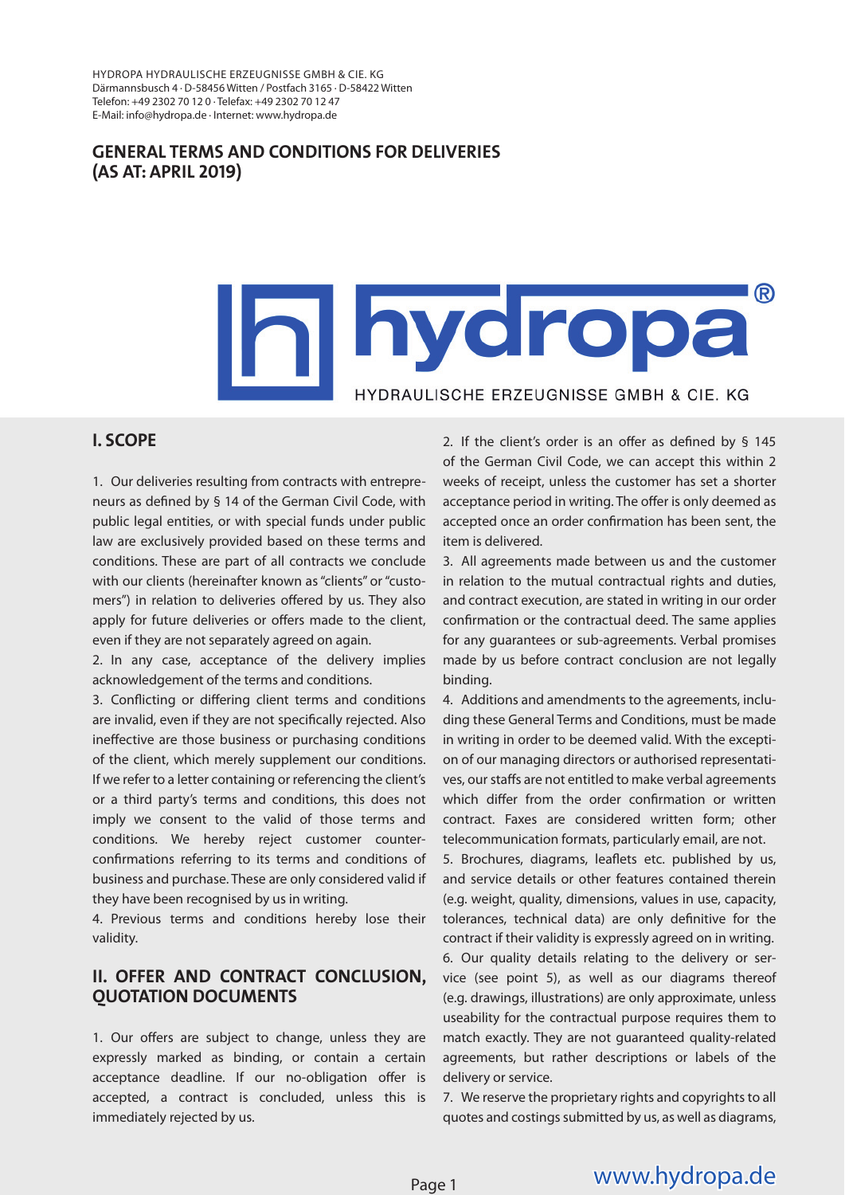HYDROPA HYDRAULISCHE ERZEUGNISSE GMBH & CIE. KG Därmannsbusch 4 · D-58456 Witten / Postfach 3165 · D-58422 Witten Telefon: +49 2302 70 12 0 · Telefax: +49 2302 70 12 47 E-Mail: info@hydropa.de · Internet: www.hydropa.de

#### **GENERAL TERMS AND CONDITIONS FOR DELIVERIES (AS AT: APRIL 2019)**

# ® hydropa HYDRAULISCHE ERZEUGNISSE GMBH & CIE, KG

# **I. SCOPE**

1. Our deliveries resulting from contracts with entrepreneurs as defined by  $\S$  14 of the German Civil Code, with public legal entities, or with special funds under public law are exclusively provided based on these terms and conditions. These are part of all contracts we conclude with our clients (hereinafter known as "clients" or "customers") in relation to deliveries offered by us. They also apply for future deliveries or offers made to the client, even if they are not separately agreed on again.

2. In any case, acceptance of the delivery implies acknowledgement of the terms and conditions.

3. Conflicting or differing client terms and conditions are invalid, even if they are not specifically rejected. Also ineffective are those business or purchasing conditions of the client, which merely supplement our conditions. If we refer to a letter containing or referencing the client's or a third party's terms and conditions, this does not imply we consent to the valid of those terms and conditions. We hereby reject customer counterconfirmations referring to its terms and conditions of business and purchase. These are only considered valid if they have been recognised by us in writing.

4. Previous terms and conditions hereby lose their validity.

#### **II. OFFER AND CONTRACT CONCLUSION, QUOTATION DOCUMENTS**

1. Our offers are subject to change, unless they are expressly marked as binding, or contain a certain acceptance deadline. If our no-obligation offer is accepted, a contract is concluded, unless this is immediately rejected by us.

2. If the client's order is an offer as defined by  $§$  145 of the German Civil Code, we can accept this within 2 weeks of receipt, unless the customer has set a shorter acceptance period in writing. The offer is only deemed as accepted once an order confirmation has been sent, the item is delivered.

3. All agreements made between us and the customer in relation to the mutual contractual rights and duties, and contract execution, are stated in writing in our order confirmation or the contractual deed. The same applies for any guarantees or sub-agreements. Verbal promises made by us before contract conclusion are not legally binding.

4. Additions and amendments to the agreements, including these General Terms and Conditions, must be made in writing in order to be deemed valid. With the exception of our managing directors or authorised representatives, our staffs are not entitled to make verbal agreements which differ from the order confirmation or written contract. Faxes are considered written form; other telecommunication formats, particularly email, are not.

5. Brochures, diagrams, leaflets etc. published by us, and service details or other features contained therein (e.g. weight, quality, dimensions, values in use, capacity, tolerances, technical data) are only definitive for the contract if their validity is expressly agreed on in writing. 6. Our quality details relating to the delivery or service (see point 5), as well as our diagrams thereof (e.g. drawings, illustrations) are only approximate, unless useability for the contractual purpose requires them to match exactly. They are not guaranteed quality-related agreements, but rather descriptions or labels of the delivery or service.

7. We reserve the proprietary rights and copyrights to all quotes and costings submitted by us, as well as diagrams,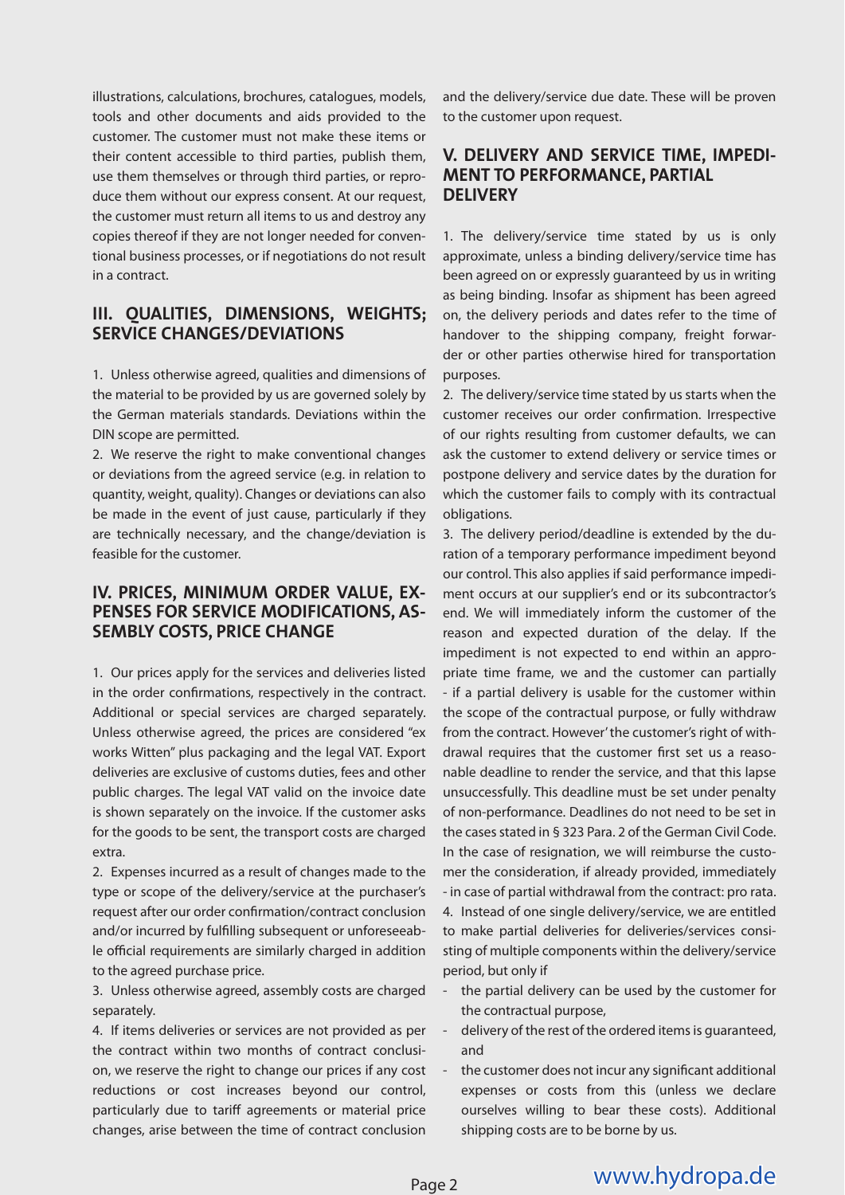illustrations, calculations, brochures, catalogues, models, tools and other documents and aids provided to the customer. The customer must not make these items or their content accessible to third parties, publish them, use them themselves or through third parties, or reproduce them without our express consent. At our request, the customer must return all items to us and destroy any copies thereof if they are not longer needed for conventional business processes, or if negotiations do not result in a contract.

# **III. QUALITIES, DIMENSIONS, WEIGHTS; SERVICE CHANGES/DEVIATIONS**

1. Unless otherwise agreed, qualities and dimensions of the material to be provided by us are governed solely by the German materials standards. Deviations within the DIN scope are permitted.

2. We reserve the right to make conventional changes or deviations from the agreed service (e.g. in relation to quantity, weight, quality). Changes or deviations can also be made in the event of just cause, particularly if they are technically necessary, and the change/deviation is feasible for the customer.

# **IV. PRICES, MINIMUM ORDER VALUE, EX-PENSES FOR SERVICE MODIFICATIONS, AS-SEMBLY COSTS, PRICE CHANGE**

1. Our prices apply for the services and deliveries listed in the order confirmations, respectively in the contract. Additional or special services are charged separately. Unless otherwise agreed, the prices are considered "ex works Witten" plus packaging and the legal VAT. Export deliveries are exclusive of customs duties, fees and other public charges. The legal VAT valid on the invoice date is shown separately on the invoice. If the customer asks for the goods to be sent, the transport costs are charged extra.

2. Expenses incurred as a result of changes made to the type or scope of the delivery/service at the purchaser's request after our order confirmation/contract conclusion and/or incurred by fulfilling subsequent or unforeseeable official requirements are similarly charged in addition to the agreed purchase price.

3. Unless otherwise agreed, assembly costs are charged separately.

4. If items deliveries or services are not provided as per the contract within two months of contract conclusion, we reserve the right to change our prices if any cost reductions or cost increases beyond our control, particularly due to tariff agreements or material price changes, arise between the time of contract conclusion

and the delivery/service due date. These will be proven to the customer upon request.

#### **V. DELIVERY AND SERVICE TIME, IMPEDI-MENT TO PERFORMANCE, PARTIAL DELIVERY**

1. The delivery/service time stated by us is only approximate, unless a binding delivery/service time has been agreed on or expressly guaranteed by us in writing as being binding. Insofar as shipment has been agreed on, the delivery periods and dates refer to the time of handover to the shipping company, freight forwarder or other parties otherwise hired for transportation purposes.

2. The delivery/service time stated by us starts when the customer receives our order confirmation. Irrespective of our rights resulting from customer defaults, we can ask the customer to extend delivery or service times or postpone delivery and service dates by the duration for which the customer fails to comply with its contractual obligations.

3. The delivery period/deadline is extended by the duration of a temporary performance impediment beyond our control. This also applies if said performance impediment occurs at our supplier's end or its subcontractor's end. We will immediately inform the customer of the reason and expected duration of the delay. If the impediment is not expected to end within an appropriate time frame, we and the customer can partially - if a partial delivery is usable for the customer within the scope of the contractual purpose, or fully withdraw from the contract. However' the customer's right of withdrawal requires that the customer first set us a reasonable deadline to render the service, and that this lapse unsuccessfully. This deadline must be set under penalty of non-performance. Deadlines do not need to be set in the cases stated in § 323 Para. 2 of the German Civil Code. In the case of resignation, we will reimburse the customer the consideration, if already provided, immediately - in case of partial withdrawal from the contract: pro rata. 4. Instead of one single delivery/service, we are entitled to make partial deliveries for deliveries/services consisting of multiple components within the delivery/service period, but only if

- the partial delivery can be used by the customer for the contractual purpose,
- delivery of the rest of the ordered items is quaranteed, and
- the customer does not incur any significant additional expenses or costs from this (unless we declare ourselves willing to bear these costs). Additional shipping costs are to be borne by us.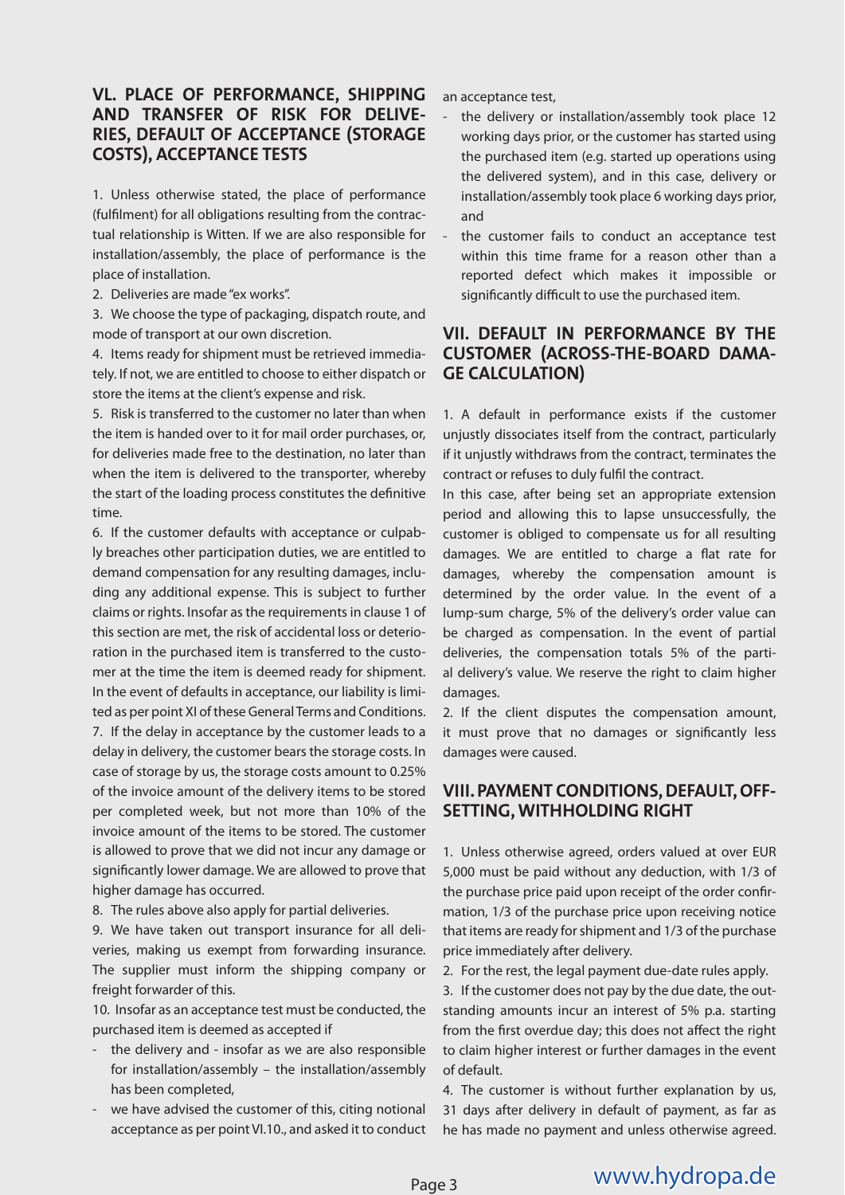### **VL. PLACE OF PERFORMANCE, SHIPPING AND TRANSFER OF RISK FOR DELIVE-RIES, DEFAULT OF ACCEPTANCE (STORAGE COSTS), ACCEPTANCE TESTS**

1. Unless otherwise stated, the place of performance (fulfilment) for all obligations resulting from the contractual relationship is Witten. If we are also responsible for installation/assembly, the place of performance is the place of installation.

2. Deliveries are made "ex works".

3. We choose the type of packaging, dispatch route, and mode of transport at our own discretion.

4. Items ready for shipment must be retrieved immediately. If not, we are entitled to choose to either dispatch or store the items at the client's expense and risk.

5. Risk is transferred to the customer no later than when the item is handed over to it for mail order purchases, or, for deliveries made free to the destination, no later than when the item is delivered to the transporter, whereby the start of the loading process constitutes the definitive time.

6. If the customer defaults with acceptance or culpably breaches other participation duties, we are entitled to demand compensation for any resulting damages, including any additional expense. This is subject to further claims or rights. Insofar as the requirements in clause 1 of this section are met, the risk of accidental loss or deterioration in the purchased item is transferred to the customer at the time the item is deemed ready for shipment. In the event of defaults in acceptance, our liability is limited as per point XI of these General Terms and Conditions. 7. If the delay in acceptance by the customer leads to a delay in delivery, the customer bears the storage costs. In case of storage by us, the storage costs amount to 0.25% of the invoice amount of the delivery items to be stored per completed week, but not more than 10% of the invoice amount of the items to be stored. The customer is allowed to prove that we did not incur any damage or significantly lower damage. We are allowed to prove that higher damage has occurred.

8. The rules above also apply for partial deliveries.

9. We have taken out transport insurance for all deliveries, making us exempt from forwarding insurance. The supplier must inform the shipping company or freight forwarder of this.

10. Insofar as an acceptance test must be conducted, the purchased item is deemed as accepted if

- the delivery and insofar as we are also responsible for installation/assembly – the installation/assembly has been completed,
- we have advised the customer of this, citing notional acceptance as per point VI.10., and asked it to conduct

an acceptance test,

- the delivery or installation/assembly took place 12 working days prior, or the customer has started using the purchased item (e.g. started up operations using the delivered system), and in this case, delivery or installation/assembly took place 6 working days prior, and
- the customer fails to conduct an acceptance test within this time frame for a reason other than a reported defect which makes it impossible or significantly difficult to use the purchased item.

# **VII. DEFAULT IN PERFORMANCE BY THE CUSTOMER (ACROSS-THE-BOARD DAMA-GE CALCULATION)**

1. A default in performance exists if the customer unjustly dissociates itself from the contract, particularly if it unjustly withdraws from the contract, terminates the contract or refuses to duly fulfil the contract.

In this case, after being set an appropriate extension period and allowing this to lapse unsuccessfully, the customer is obliged to compensate us for all resulting damages. We are entitled to charge a flat rate for damages, whereby the compensation amount is determined by the order value. In the event of a lump-sum charge, 5% of the delivery's order value can be charged as compensation. In the event of partial deliveries, the compensation totals 5% of the partial delivery's value. We reserve the right to claim higher damages.

2. If the client disputes the compensation amount, it must prove that no damages or significantly less damages were caused.

# **VIII. PAYMENT CONDITIONS, DEFAULT, OFF-SETTING, WITHHOLDING RIGHT**

1. Unless otherwise agreed, orders valued at over EUR 5,000 must be paid without any deduction, with 1/3 of the purchase price paid upon receipt of the order confirmation, 1/3 of the purchase price upon receiving notice that items are ready for shipment and 1/3 of the purchase price immediately after delivery.

2. For the rest, the legal payment due-date rules apply.

3. If the customer does not pay by the due date, the outstanding amounts incur an interest of 5% p.a. starting from the first overdue day; this does not affect the right to claim higher interest or further damages in the event of default.

4. The customer is without further explanation by us, 31 days after delivery in default of payment, as far as he has made no payment and unless otherwise agreed.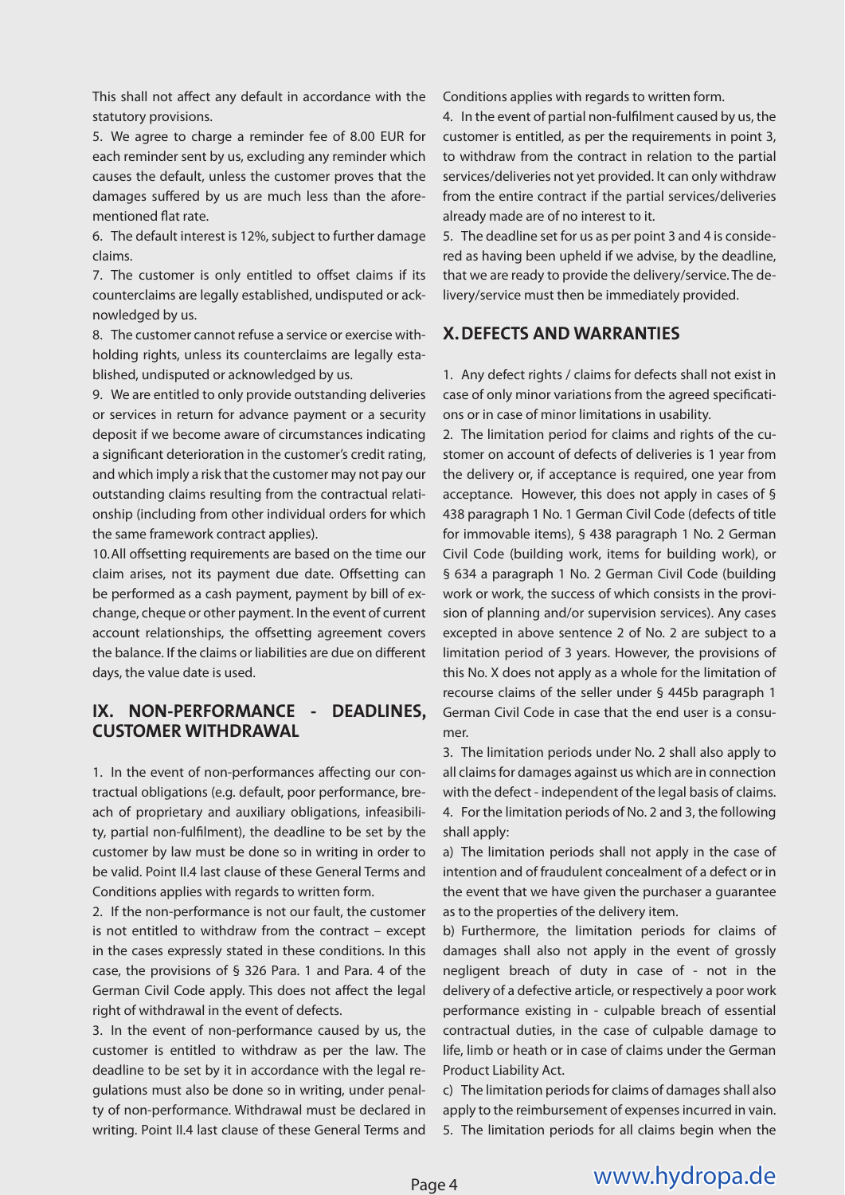This shall not affect any default in accordance with the statutory provisions.

5. We agree to charge a reminder fee of 8.00 EUR for each reminder sent by us, excluding any reminder which causes the default, unless the customer proves that the damages suffered by us are much less than the aforementioned flat rate.

6. The default interest is 12%, subject to further damage claims.

7. The customer is only entitled to offset claims if its counterclaims are legally established, undisputed or acknowledged by us.

8. The customer cannot refuse a service or exercise withholding rights, unless its counterclaims are legally established, undisputed or acknowledged by us.

9. We are entitled to only provide outstanding deliveries or services in return for advance payment or a security deposit if we become aware of circumstances indicating a significant deterioration in the customer's credit rating, and which imply a risk that the customer may not pay our outstanding claims resulting from the contractual relationship (including from other individual orders for which the same framework contract applies).

10. All offsetting requirements are based on the time our claim arises, not its payment due date. Offsetting can be performed as a cash payment, payment by bill of exchange, cheque or other payment. In the event of current account relationships, the offsetting agreement covers the balance. If the claims or liabilities are due on different days, the value date is used.

### **IX. NON-PERFORMANCE - DEADLINES, CUSTOMER WITHDRAWAL**

1. In the event of non-performances affecting our contractual obligations (e.g. default, poor performance, breach of proprietary and auxiliary obligations, infeasibility, partial non-fulfilment), the deadline to be set by the customer by law must be done so in writing in order to be valid. Point II.4 last clause of these General Terms and Conditions applies with regards to written form.

2. If the non-performance is not our fault, the customer is not entitled to withdraw from the contract – except in the cases expressly stated in these conditions. In this case, the provisions of § 326 Para. 1 and Para. 4 of the German Civil Code apply. This does not affect the legal right of withdrawal in the event of defects.

3. In the event of non-performance caused by us, the customer is entitled to withdraw as per the law. The deadline to be set by it in accordance with the legal regulations must also be done so in writing, under penalty of non-performance. Withdrawal must be declared in writing. Point II.4 last clause of these General Terms and Conditions applies with regards to written form.

4. In the event of partial non-fulfilment caused by us, the customer is entitled, as per the requirements in point 3, to withdraw from the contract in relation to the partial services/deliveries not yet provided. It can only withdraw from the entire contract if the partial services/deliveries already made are of no interest to it.

5. The deadline set for us as per point 3 and 4 is considered as having been upheld if we advise, by the deadline, that we are ready to provide the delivery/service. The delivery/service must then be immediately provided.

# **X. DEFECTS AND WARRANTIES**

1. Any defect rights / claims for defects shall not exist in case of only minor variations from the agreed specifications or in case of minor limitations in usability.

2. The limitation period for claims and rights of the customer on account of defects of deliveries is 1 year from the delivery or, if acceptance is required, one year from acceptance. However, this does not apply in cases of § 438 paragraph 1 No. 1 German Civil Code (defects of title for immovable items), § 438 paragraph 1 No. 2 German Civil Code (building work, items for building work), or § 634 a paragraph 1 No. 2 German Civil Code (building work or work, the success of which consists in the provision of planning and/or supervision services). Any cases excepted in above sentence 2 of No. 2 are subject to a limitation period of 3 years. However, the provisions of this No. X does not apply as a whole for the limitation of recourse claims of the seller under § 445b paragraph 1 German Civil Code in case that the end user is a consumer.

3. The limitation periods under No. 2 shall also apply to all claims for damages against us which are in connection with the defect - independent of the legal basis of claims. 4. For the limitation periods of No. 2 and 3, the following shall apply:

a) The limitation periods shall not apply in the case of intention and of fraudulent concealment of a defect or in the event that we have given the purchaser a guarantee as to the properties of the delivery item.

b) Furthermore, the limitation periods for claims of damages shall also not apply in the event of grossly negligent breach of duty in case of - not in the delivery of a defective article, or respectively a poor work performance existing in - culpable breach of essential contractual duties, in the case of culpable damage to life, limb or heath or in case of claims under the German Product Liability Act.

c) The limitation periods for claims of damages shall also apply to the reimbursement of expenses incurred in vain. 5. The limitation periods for all claims begin when the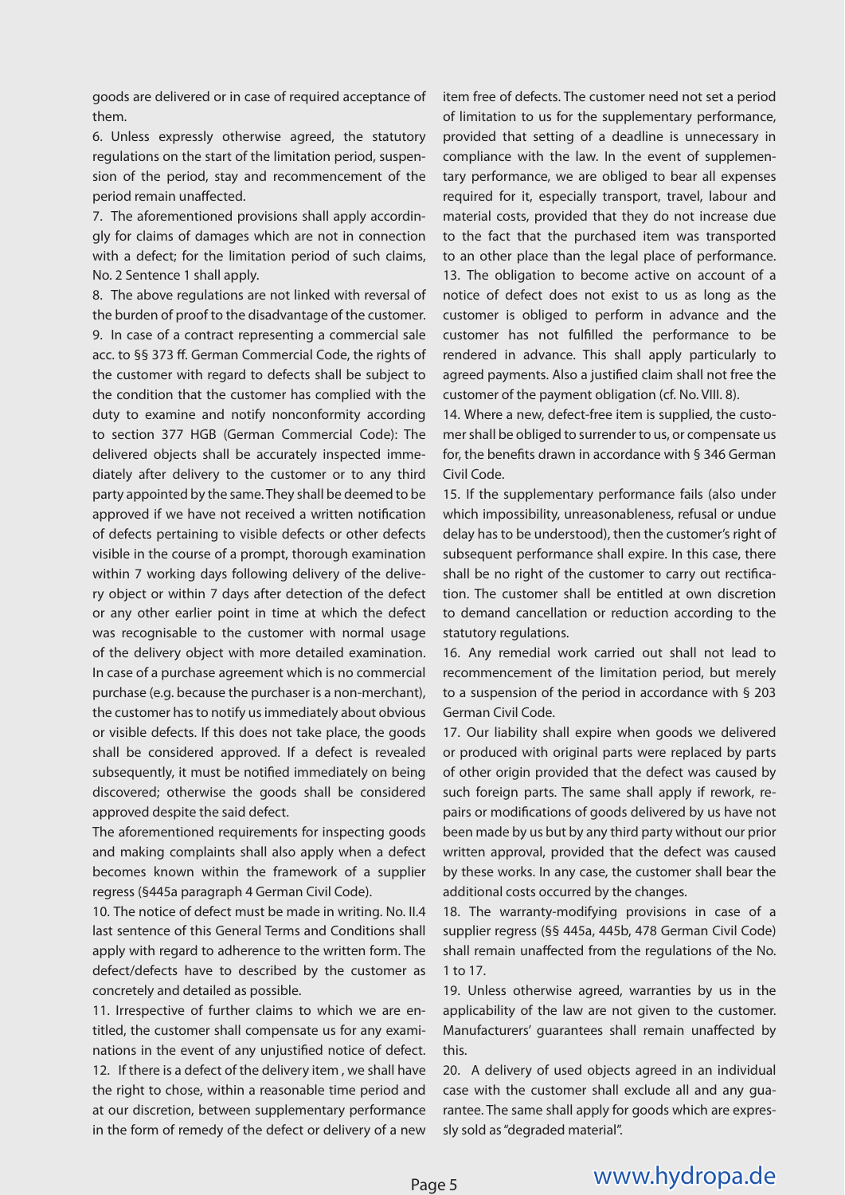goods are delivered or in case of required acceptance of them.

6. Unless expressly otherwise agreed, the statutory regulations on the start of the limitation period, suspension of the period, stay and recommencement of the period remain unaffected.

7. The aforementioned provisions shall apply accordingly for claims of damages which are not in connection with a defect; for the limitation period of such claims, No. 2 Sentence 1 shall apply.

8. The above regulations are not linked with reversal of the burden of proof to the disadvantage of the customer. 9. In case of a contract representing a commercial sale acc. to §§ 373 ff. German Commercial Code, the rights of the customer with regard to defects shall be subject to the condition that the customer has complied with the duty to examine and notify nonconformity according to section 377 HGB (German Commercial Code): The delivered objects shall be accurately inspected immediately after delivery to the customer or to any third party appointed by the same. They shall be deemed to be approved if we have not received a written notification of defects pertaining to visible defects or other defects visible in the course of a prompt, thorough examination within 7 working days following delivery of the delivery object or within 7 days after detection of the defect or any other earlier point in time at which the defect was recognisable to the customer with normal usage of the delivery object with more detailed examination. In case of a purchase agreement which is no commercial purchase (e.g. because the purchaser is a non-merchant), the customer has to notify us immediately about obvious or visible defects. If this does not take place, the goods shall be considered approved. If a defect is revealed subsequently, it must be notified immediately on being discovered; otherwise the goods shall be considered approved despite the said defect.

The aforementioned requirements for inspecting goods and making complaints shall also apply when a defect becomes known within the framework of a supplier regress (§445a paragraph 4 German Civil Code).

10. The notice of defect must be made in writing. No. II.4 last sentence of this General Terms and Conditions shall apply with regard to adherence to the written form. The defect/defects have to described by the customer as concretely and detailed as possible.

11. Irrespective of further claims to which we are entitled, the customer shall compensate us for any examinations in the event of any unjustified notice of defect. 12. If there is a defect of the delivery item , we shall have the right to chose, within a reasonable time period and at our discretion, between supplementary performance in the form of remedy of the defect or delivery of a new

item free of defects. The customer need not set a period of limitation to us for the supplementary performance, provided that setting of a deadline is unnecessary in compliance with the law. In the event of supplementary performance, we are obliged to bear all expenses required for it, especially transport, travel, labour and material costs, provided that they do not increase due to the fact that the purchased item was transported to an other place than the legal place of performance. 13. The obligation to become active on account of a notice of defect does not exist to us as long as the customer is obliged to perform in advance and the customer has not fulfilled the performance to be rendered in advance. This shall apply particularly to agreed payments. Also a justified claim shall not free the customer of the payment obligation (cf. No. VIII. 8).

14. Where a new, defect-free item is supplied, the customer shall be obliged to surrender to us, or compensate us for, the benefits drawn in accordance with § 346 German Civil Code.

15. If the supplementary performance fails (also under which impossibility, unreasonableness, refusal or undue delay has to be understood), then the customer's right of subsequent performance shall expire. In this case, there shall be no right of the customer to carry out rectification. The customer shall be entitled at own discretion to demand cancellation or reduction according to the statutory regulations.

16. Any remedial work carried out shall not lead to recommencement of the limitation period, but merely to a suspension of the period in accordance with § 203 German Civil Code.

17. Our liability shall expire when goods we delivered or produced with original parts were replaced by parts of other origin provided that the defect was caused by such foreign parts. The same shall apply if rework, repairs or modifications of goods delivered by us have not been made by us but by any third party without our prior written approval, provided that the defect was caused by these works. In any case, the customer shall bear the additional costs occurred by the changes.

18. The warranty-modifying provisions in case of a supplier regress (§§ 445a, 445b, 478 German Civil Code) shall remain unaffected from the regulations of the No. 1 to 17.

19. Unless otherwise agreed, warranties by us in the applicability of the law are not given to the customer. Manufacturers' guarantees shall remain unaffected by this.

20. A delivery of used objects agreed in an individual case with the customer shall exclude all and any guarantee. The same shall apply for goods which are expressly sold as "degraded material".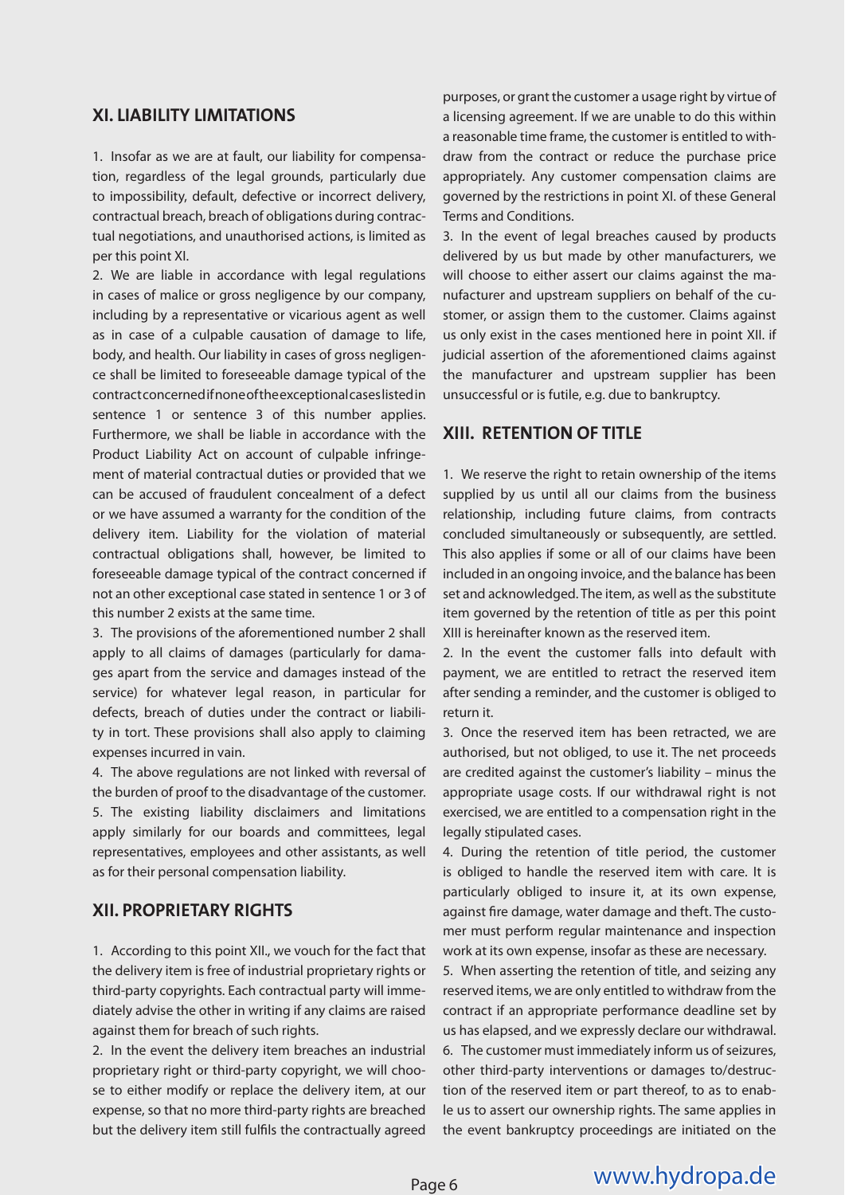#### **XI. LIABILITY LIMITATIONS**

1. Insofar as we are at fault, our liability for compensation, regardless of the legal grounds, particularly due to impossibility, default, defective or incorrect delivery, contractual breach, breach of obligations during contractual negotiations, and unauthorised actions, is limited as per this point XI.

2. We are liable in accordance with legal regulations in cases of malice or gross negligence by our company, including by a representative or vicarious agent as well as in case of a culpable causation of damage to life, body, and health. Our liability in cases of gross negligence shall be limited to foreseeable damage typical of the contract concerned if none of the exceptional cases listed in sentence 1 or sentence 3 of this number applies. Furthermore, we shall be liable in accordance with the Product Liability Act on account of culpable infringement of material contractual duties or provided that we can be accused of fraudulent concealment of a defect or we have assumed a warranty for the condition of the delivery item. Liability for the violation of material contractual obligations shall, however, be limited to foreseeable damage typical of the contract concerned if not an other exceptional case stated in sentence 1 or 3 of this number 2 exists at the same time.

3. The provisions of the aforementioned number 2 shall apply to all claims of damages (particularly for damages apart from the service and damages instead of the service) for whatever legal reason, in particular for defects, breach of duties under the contract or liability in tort. These provisions shall also apply to claiming expenses incurred in vain.

4. The above regulations are not linked with reversal of the burden of proof to the disadvantage of the customer. 5. The existing liability disclaimers and limitations apply similarly for our boards and committees, legal representatives, employees and other assistants, as well as for their personal compensation liability.

#### **XII. PROPRIETARY RIGHTS**

1. According to this point XII., we vouch for the fact that the delivery item is free of industrial proprietary rights or third-party copyrights. Each contractual party will immediately advise the other in writing if any claims are raised against them for breach of such rights.

2. In the event the delivery item breaches an industrial proprietary right or third-party copyright, we will choose to either modify or replace the delivery item, at our expense, so that no more third-party rights are breached but the delivery item still fulfils the contractually agreed

purposes, or grant the customer a usage right by virtue of a licensing agreement. If we are unable to do this within a reasonable time frame, the customer is entitled to withdraw from the contract or reduce the purchase price appropriately. Any customer compensation claims are governed by the restrictions in point XI. of these General Terms and Conditions.

3. In the event of legal breaches caused by products delivered by us but made by other manufacturers, we will choose to either assert our claims against the manufacturer and upstream suppliers on behalf of the customer, or assign them to the customer. Claims against us only exist in the cases mentioned here in point XII. if judicial assertion of the aforementioned claims against the manufacturer and upstream supplier has been unsuccessful or is futile, e.g. due to bankruptcy.

#### **XIII. RETENTION OF TITLE**

1. We reserve the right to retain ownership of the items supplied by us until all our claims from the business relationship, including future claims, from contracts concluded simultaneously or subsequently, are settled. This also applies if some or all of our claims have been included in an ongoing invoice, and the balance has been set and acknowledged. The item, as well as the substitute item governed by the retention of title as per this point XIII is hereinafter known as the reserved item.

2. In the event the customer falls into default with payment, we are entitled to retract the reserved item after sending a reminder, and the customer is obliged to return it.

3. Once the reserved item has been retracted, we are authorised, but not obliged, to use it. The net proceeds are credited against the customer's liability – minus the appropriate usage costs. If our withdrawal right is not exercised, we are entitled to a compensation right in the legally stipulated cases.

4. During the retention of title period, the customer is obliged to handle the reserved item with care. It is particularly obliged to insure it, at its own expense, against fire damage, water damage and theft. The customer must perform regular maintenance and inspection work at its own expense, insofar as these are necessary.

5. When asserting the retention of title, and seizing any reserved items, we are only entitled to withdraw from the contract if an appropriate performance deadline set by us has elapsed, and we expressly declare our withdrawal. 6. The customer must immediately inform us of seizures, other third-party interventions or damages to/destruction of the reserved item or part thereof, to as to enable us to assert our ownership rights. The same applies in the event bankruptcy proceedings are initiated on the

# www.hydropa.de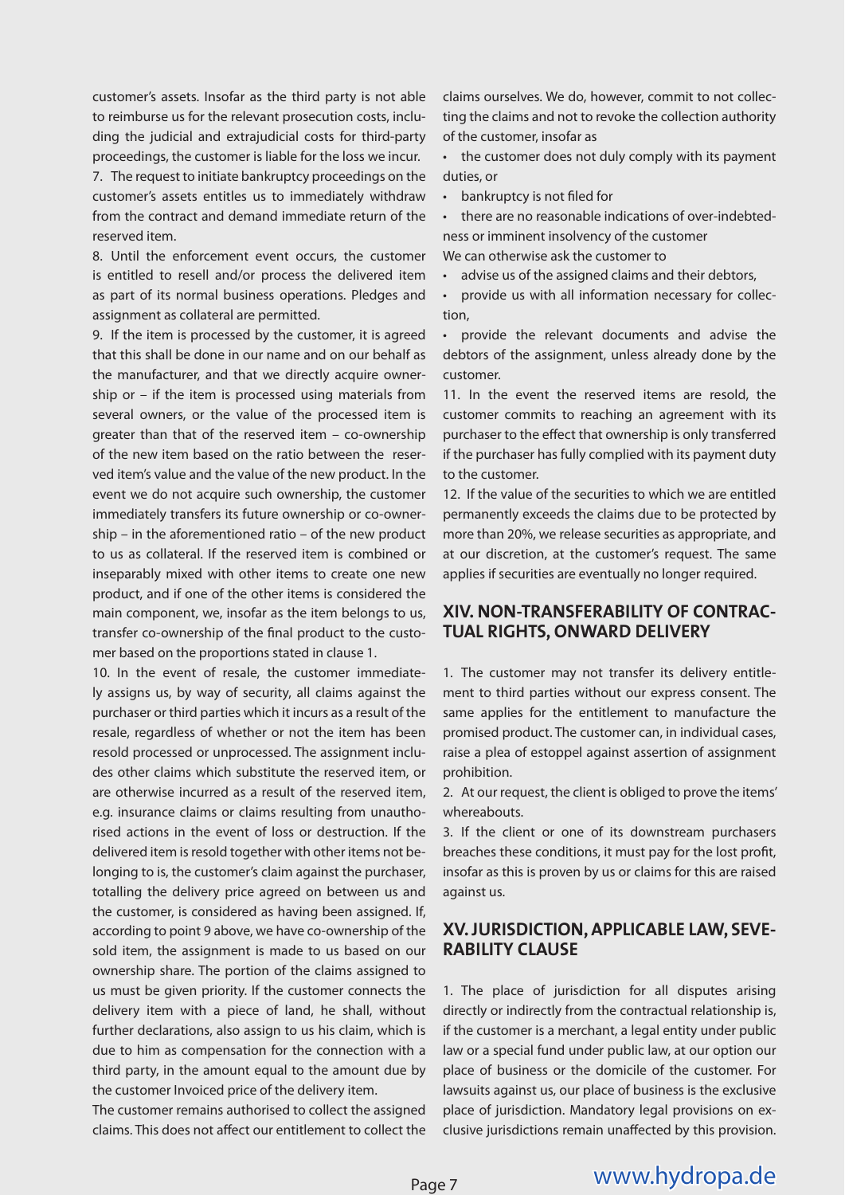customer's assets. Insofar as the third party is not able to reimburse us for the relevant prosecution costs, including the judicial and extrajudicial costs for third-party proceedings, the customer is liable for the loss we incur.

7. The request to initiate bankruptcy proceedings on the customer's assets entitles us to immediately withdraw from the contract and demand immediate return of the reserved item.

8. Until the enforcement event occurs, the customer is entitled to resell and/or process the delivered item as part of its normal business operations. Pledges and assignment as collateral are permitted.

9. If the item is processed by the customer, it is agreed that this shall be done in our name and on our behalf as the manufacturer, and that we directly acquire ownership or – if the item is processed using materials from several owners, or the value of the processed item is greater than that of the reserved item – co-ownership of the new item based on the ratio between the reserved item's value and the value of the new product. In the event we do not acquire such ownership, the customer immediately transfers its future ownership or co-ownership – in the aforementioned ratio – of the new product to us as collateral. If the reserved item is combined or inseparably mixed with other items to create one new product, and if one of the other items is considered the main component, we, insofar as the item belongs to us, transfer co-ownership of the final product to the customer based on the proportions stated in clause 1.

10. In the event of resale, the customer immediately assigns us, by way of security, all claims against the purchaser or third parties which it incurs as a result of the resale, regardless of whether or not the item has been resold processed or unprocessed. The assignment includes other claims which substitute the reserved item, or are otherwise incurred as a result of the reserved item, e.g. insurance claims or claims resulting from unauthorised actions in the event of loss or destruction. If the delivered item is resold together with other items not belonging to is, the customer's claim against the purchaser, totalling the delivery price agreed on between us and the customer, is considered as having been assigned. If, according to point 9 above, we have co-ownership of the sold item, the assignment is made to us based on our ownership share. The portion of the claims assigned to us must be given priority. If the customer connects the delivery item with a piece of land, he shall, without further declarations, also assign to us his claim, which is due to him as compensation for the connection with a third party, in the amount equal to the amount due by the customer Invoiced price of the delivery item.

The customer remains authorised to collect the assigned claims. This does not affect our entitlement to collect the claims ourselves. We do, however, commit to not collecting the claims and not to revoke the collection authority of the customer, insofar as

• the customer does not duly comply with its payment duties, or

 $\cdot$  bankruptcy is not filed for

• there are no reasonable indications of over-indebtedness or imminent insolvency of the customer

We can otherwise ask the customer to

• advise us of the assigned claims and their debtors,

• provide us with all information necessary for collection,

• provide the relevant documents and advise the debtors of the assignment, unless already done by the customer.

11. In the event the reserved items are resold, the customer commits to reaching an agreement with its purchaser to the effect that ownership is only transferred if the purchaser has fully complied with its payment duty to the customer.

12. If the value of the securities to which we are entitled permanently exceeds the claims due to be protected by more than 20%, we release securities as appropriate, and at our discretion, at the customer's request. The same applies if securities are eventually no longer required.

#### **XIV. NON-TRANSFERABILITY OF CONTRAC-TUAL RIGHTS, ONWARD DELIVERY**

1. The customer may not transfer its delivery entitlement to third parties without our express consent. The same applies for the entitlement to manufacture the promised product. The customer can, in individual cases, raise a plea of estoppel against assertion of assignment prohibition.

2. At our request, the client is obliged to prove the items' whereabouts.

3. If the client or one of its downstream purchasers breaches these conditions, it must pay for the lost profit, insofar as this is proven by us or claims for this are raised against us.

#### **XV. JURISDICTION, APPLICABLE LAW, SEVE-RABILITY CLAUSE**

1. The place of jurisdiction for all disputes arising directly or indirectly from the contractual relationship is, if the customer is a merchant, a legal entity under public law or a special fund under public law, at our option our place of business or the domicile of the customer. For lawsuits against us, our place of business is the exclusive place of jurisdiction. Mandatory legal provisions on exclusive jurisdictions remain unaffected by this provision.